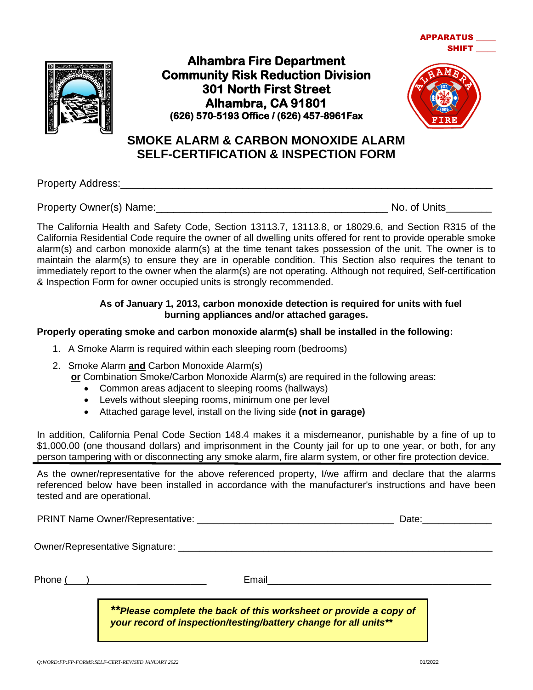



**Alhambra Fire Department Community Risk Reduction Division 301 North First Street Alhambra, CA 91801 (626) 570-5193 Office / (626) 457-8961Fax** 



**APPARATUS** 

**SHIFT** 

# **SMOKE ALARM & CARBON MONOXIDE ALARM SELF-CERTIFICATION & INSPECTION FORM**

Property Address:\_\_\_\_\_\_\_\_\_\_\_\_\_\_\_\_\_\_\_\_\_\_\_\_\_\_\_\_\_\_\_\_\_\_\_\_\_\_\_\_\_\_\_\_\_\_\_\_\_\_\_\_\_\_\_\_\_\_\_\_\_\_\_\_

Property Owner(s) Name:\_\_\_\_\_\_\_\_\_\_\_\_\_\_\_\_\_\_\_\_\_\_\_\_\_\_\_\_\_\_\_\_\_\_\_\_\_\_\_\_ No. of Units\_\_\_\_\_\_\_\_\_

The California Health and Safety Code, Section 13113.7, 13113.8, or 18029.6, and Section R315 of the California Residential Code require the owner of all dwelling units offered for rent to provide operable smoke alarm(s) and carbon monoxide alarm(s) at the time tenant takes possession of the unit. The owner is to maintain the alarm(s) to ensure they are in operable condition. This Section also requires the tenant to immediately report to the owner when the alarm(s) are not operating. Although not required, Self-certification & Inspection Form for owner occupied units is strongly recommended.

#### **As of January 1, 2013, carbon monoxide detection is required for units with fuel burning appliances and/or attached garages.**

### **Properly operating smoke and carbon monoxide alarm(s) shall be installed in the following:**

- 1. A Smoke Alarm is required within each sleeping room (bedrooms)
- 2. Smoke Alarm **and** Carbon Monoxide Alarm(s)

**or** Combination Smoke/Carbon Monoxide Alarm(s) are required in the following areas:

- Common areas adjacent to sleeping rooms (hallways)
- Levels without sleeping rooms, minimum one per level
- Attached garage level, install on the living side **(not in garage)**

In addition, California Penal Code Section 148.4 makes it a misdemeanor, punishable by a fine of up to \$1,000.00 (one thousand dollars) and imprisonment in the County jail for up to one year, or both, for any person tampering with or disconnecting any smoke alarm, fire alarm system, or other fire protection device.

As the owner/representative for the above referenced property, I/we affirm and declare that the alarms referenced below have been installed in accordance with the manufacturer's instructions and have been tested and are operational.

| <b>PRINT Name Owner/Representative:</b> | )ate |
|-----------------------------------------|------|
|                                         |      |

Owner/Representative Signature: \_\_\_\_\_\_\_\_\_\_\_\_\_\_\_\_\_\_\_\_\_\_\_\_\_\_\_\_\_\_\_\_\_\_\_\_\_\_\_\_\_\_\_\_\_\_\_\_\_\_\_\_\_\_\_\_\_\_\_

Phone ( )\_\_\_\_\_\_\_\_\_\_\_\_\_\_\_\_\_\_\_\_\_\_ Email\_\_\_\_\_\_\_\_\_\_\_\_\_\_\_\_\_\_\_\_\_\_\_\_\_\_\_\_\_\_\_\_\_\_\_\_\_\_\_\_\_\_

*\*\*Please complete the back of this worksheet or provide a copy of your record of inspection/testing/battery change for all units\*\**